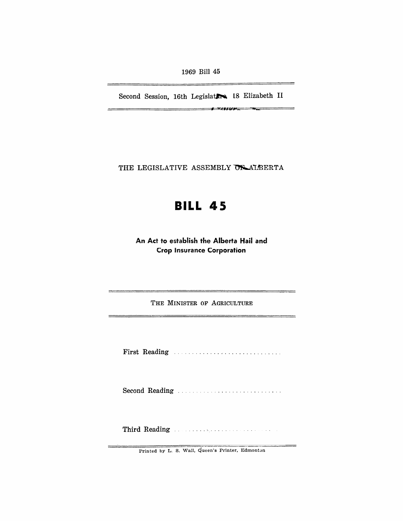1969 Bill 45

Second Session, 16th Legislatics, 18 Elizabeth II

*I* U/~"

THE LEGISLATIVE ASSEMBLY OF ALBERTA

# **BILL 45**

An Act to establish the Alberta Hail and Crop Insurance Corporation

THE MINISTER OF AGRICULTURE

First Reading ............................. .

Second Reading . . . .

Third Reading ..

Printed by L. S. Wall, Queen's Printer, Edmonton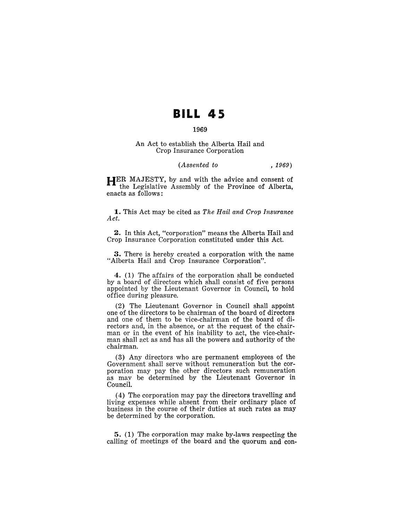## **BILL 45**

### 1969

#### An Act to establish the Alberta Hail and Crop Insurance Corporation

#### *(Assented to* , 1969)

HER MAJESTY, by and with the advice and consent of the Legislative Assembly of the Province of Alberta, enacts as follows:

1. This Act may be cited as *The Hail and Crop Insurance Act.* 

2. In this Act, "corporation" means the Alberta Hail and Crop Insurance Corporation constituted under this Act.

3. There is hereby created a corporation with the name "Alberta Hail and Crop Insurance Corporation".

4. (1) The affairs of the corporation shall be conducted by a board of directors which shall consist of five persons appointed by the Lieutenant Governor in Council, to hold office during pleasure.

(2) The Lieutenant Governor in Council shall appoint one of the directors to be chairman of the board of directors and one of them to be vice-chairman of the board of directors and, in the absence, or at the request of the chairman or in the event of his inability to act, the vice-chairman shall act as and has all the powers and authority of the chairman.

(3) Any directors who are permanent employees of the Government shall serve without remuneration but the corporation may pay the other directors such remuneration as may be determined by the Lieutenant Governor in Council.

(4) The corporation may pay the directors travelling and living expenses while absent from their ordinary place of business in the course of their duties at such rates as may be determined by the corporation.

5. (1) The corporation may make by-laws respecting the calling of meetings of the board and the quorum and con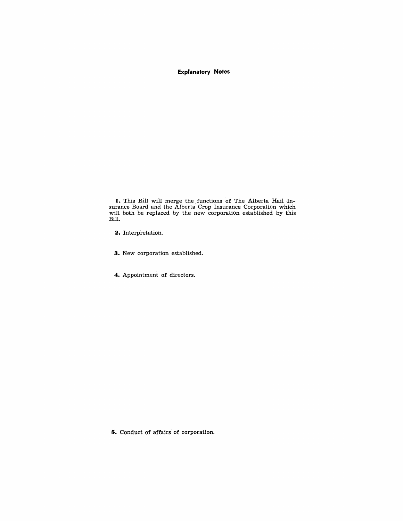**Explanatory Notes** 

**I.** This Bill will merge the functions of The Alberta Hail **In**surance Board and the Alberta Crop Insurance Corporation which will both be replaced by the new corporation established by this Bill.

**2.** Interpretation.

- **3.** New corporation established.
- **4.** Appointment of directors.

**5.** Conduct of affairs of corporation.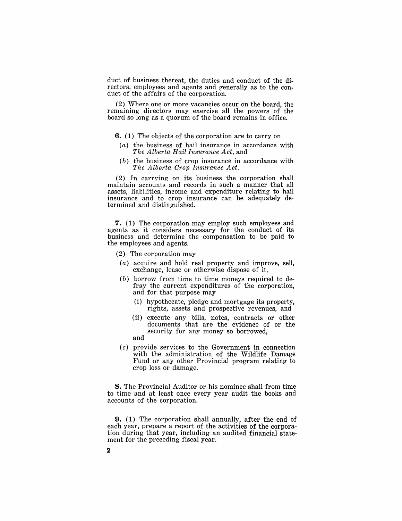duct of business thereat, the duties and conduct of the directors, employees and agents and generally as to the conduct of the affairs of the corporation.

(2) Where one or more vacancies occur on the board, the remaining directors may exercise all the powers of the board so long as a quorum of the board remains in office.

- **6.** (1) The objects of the corporation are to carry on
- (a) the business of hail insurance in accordance with *The Alberta Hail Insurance Act,* and
- $(b)$  the business of crop insurance in accordance with *The Alberta Crop Insurance Act.*

(2) In carrying on its business the corporation shall maintain accounts and records in such a manner that all assets, liabilities, income and expenditure relating to hail insurance and to crop insurance can be adequately determined and distinguished.

7. (1) The corporation may employ such employees and agents as it considers necessary for the conduct of its business and determine the compensation to be paid to the employees and agents.

- (2) The corporation may
- (a) acquire and hold real property and improve, sell, exchange, lease or otherwise dispose of it,
- $(b)$  borrow from time to time moneys required to defray the current expenditures of the corporation, and for that purpose may
	- (i) hypothecate, pledge and mortgage its property, rights, assets and prospective revenues, and
	- (ii) execute any bills, notes, contracts or other documents that are the evidence of or the security for any money so borrowed, and
- (c) provide services to the Government in connection with the administration of the Wildlife Damage Fund or any other Provincial program relating to crop loss or damage.

8. The Provincial Auditor or his nominee shall from time to time and at least once every year audit the books and accounts of the corporation.

**9.** (1) The corporation shall annually, after the end of each year, prepare a report of the activities of the corporation during that year, including an audited financial statement for the preceding fiscal year.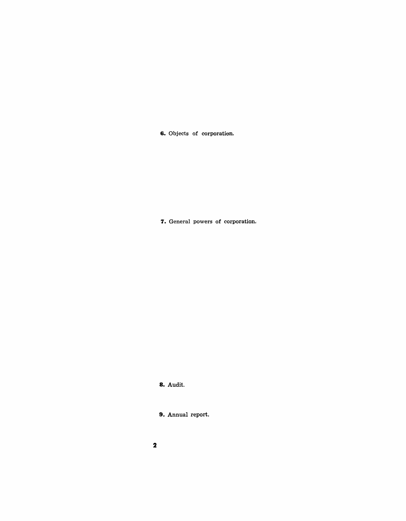**6.** Objects of corporation.

7. General powers of corporation.

**8.** Audit.

**9.** Annual report.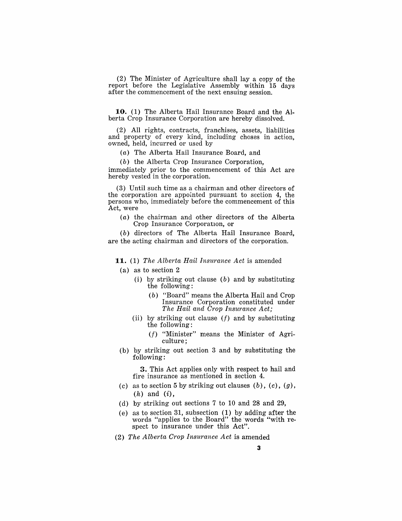(2) The Minister of Agriculture shall lay a copy of the report before the Legislative Assembly within 15 days after the commencement of the next ensuing session.

**10.** (1) The Alberta Hail Insurance Board and the Alberta Crop Insurance Corporation are hereby dissolved.

(2) All rights, contracts, franchises, assets, liabilities and property of every kind, including choses in action, owned, held, incurred or used by

(a) The Alberta Hail Insurance Board, and

(b) the Alberta Crop Insurance Corporation,

immediately prior to the commencement of this Act are hereby vested in the corporation.

(3) Until such time as a chairman and other directors of the corporation are appointed pursuant to section 4, the persons who, immediately before the commencement of this Act, were

(a) the chairman and other directors of the Alberta Crop Insurance Corporation, or

(b) directors of The Alberta Hail Insurance Board, are the acting chairman and directors of the corporation.

**11.** (1) *The Alberta Hail Insurance Act* is amended

- (a) as to section 2
	- (i) by striking out clause  $(b)$  and by substituting the following:
		- *( b* ) "Board" means the Alberta Hail and Crop Insurance Corporation constituted under *The Hail and Crop Insurance Act;*
	- (ii) by striking out clause  $(f)$  and by substituting the following:
		- $(f)$  "Minister" means the Minister of Agriculture;
- (b) by striking out section 3 and by substituting the following:

**3.** This Act applies only with respect to hail and fire insurance as mentioned in section 4.

- (c) as to section 5 by striking out clauses  $(b)$ ,  $(c)$ ,  $(g)$ ,  $(h)$  and  $(i)$ ,
- (d) by striking out sections 7 to 10 and 28 and 29,
- (e) as to section 31, subsection (1) by adding after the words "applies to the Board" the words "with respect to insurance under this Act".
- *(2) The Alberta Crop Insurance Act* is amended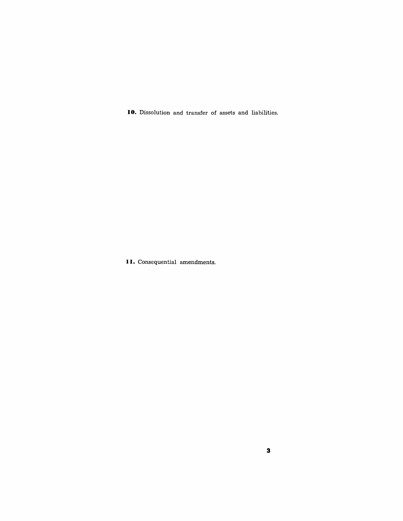**10.** Dissolution and transfer of assets and liabilities.

**II.** Consequential amendments.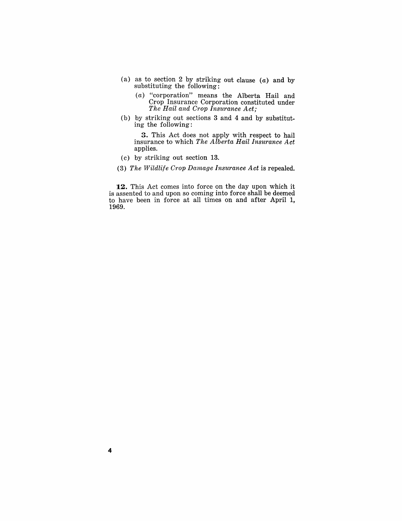- (a) as to section 2 by striking out clause  $(a)$  and by substituting the following:
	- (a) "corporation" means the Alberta Hail and Crop Insurance Corporation constituted under *The Hail and Crop Insurance Act;*
- (b) by striking out sections 3 and 4 and by substituting the following:

3. This Act does not apply with respect to hail insurance to which *The Alberta Hail Insurance Act*  applies.

- (c) by striking out section 13.
- *(3) The vVildlife Crop Da'mage Insurance Act* is repealed.

**12.** This Act comes into force on the day upon which it is assented to and upon so coming into force shall be deemed to have been in force at all times on and after April **1,**  1969.